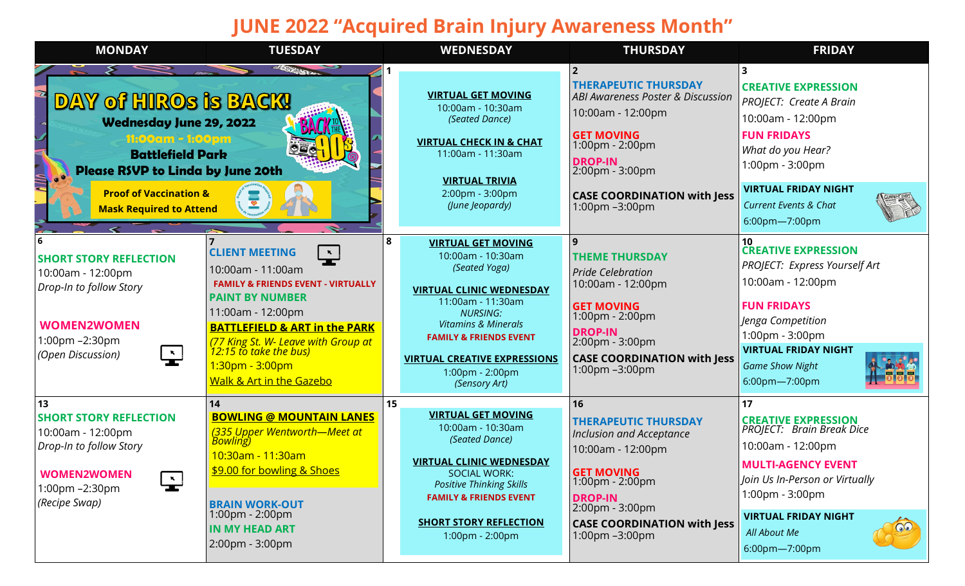## **JUNE 2022 "Acquired Brain Injury Awareness Month"**